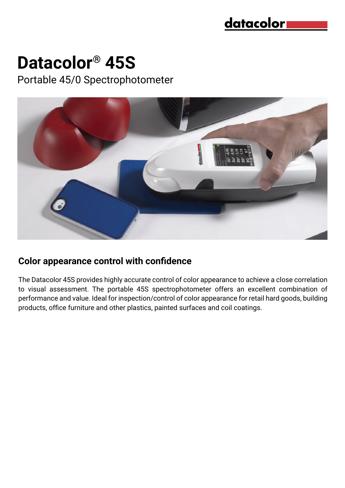

# **Datacolor® 45S**

Portable 45/0 Spectrophotometer



#### **Color appearance control with confidence**

The Datacolor 45S provides highly accurate control of color appearance to achieve a close correlation to visual assessment. The portable 45S spectrophotometer offers an excellent combination of performance and value. Ideal for inspection/control of color appearance for retail hard goods, building products, office furniture and other plastics, painted surfaces and coil coatings.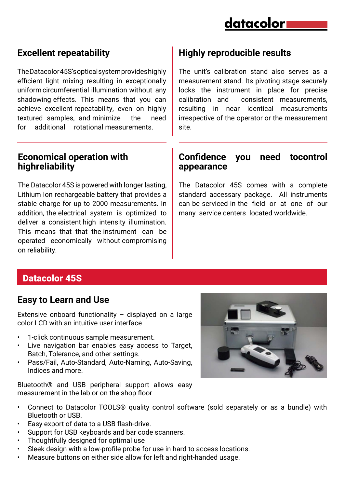

## **Excellent repeatability**

The Datacolor 45S's optical system provides highly efficient light mixing resulting in exceptionally uniform circumferential illumination without any shadowing effects. This means that you can achieve excellent repeatability, even on highly textured samples, and minimize the need for additional rotational measurements.

#### **Economical operation with highreliability**

The Datacolor 45S is powered with longer lasting, Lithium Ion rechargeable battery that provides a stable charge for up to 2000 measurements. In addition, the electrical system is optimized to deliver a consistent high intensity illumination. This means that that the instrument can be operated economically without compromising on reliability.

# **Highly reproducible results**

The unit's calibration stand also serves as a measurement stand. Its pivoting stage securely locks the instrument in place for precise calibration and consistent measurements, resulting in near identical measurements irrespective of the operator or the measurement site.

#### **Confidence you need tocontrol appearance**

The Datacolor 45S comes with a complete standard accessary package. All instruments can be serviced in the field or at one of our many service centers located worldwide.

## Datacolor 45S

#### **Easy to Learn and Use**

Extensive onboard functionality – displayed on a large color LCD with an intuitive user interface

- 1-click continuous sample measurement.
- Live navigation bar enables easy access to Target, Batch, Tolerance, and other settings.
- Pass/Fail, Auto-Standard, Auto-Naming, Auto-Saving, Indices and more.

Bluetooth® and USB peripheral support allows easy measurement in the lab or on the shop floor

- Connect to Datacolor TOOLS® quality control software (sold separately or as a bundle) with Bluetooth or USB.
- Easy export of data to a USB flash-drive.
- Support for USB keyboards and bar code scanners.
- Thoughtfully designed for optimal use
- Sleek design with a low-profile probe for use in hard to access locations.
- Measure buttons on either side allow for left and right-handed usage.